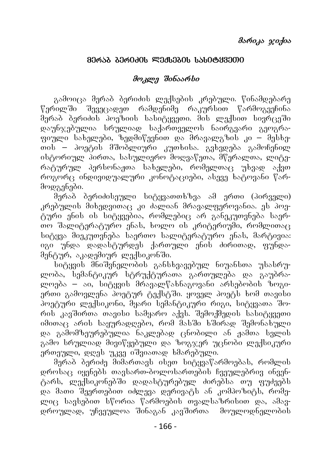## 80რ১<u>ბ გერიკის ლექსე</u>გის სასიტყვეთი

## **mokle Sinaarsi**

გამოიცა მერაბ ბერიძის ლექსების კრებული. წინამდებარე წერილში შევეცადეთ რამდენიმე რაკურსით წარმოგვეჩინა მერაბ ბერიძის პოეზიის სასიტყვეთი. მის ლექსით სივრცეში დაუნ $\chi$ ებულია სრულიად საქართველოს ნაირგვარი გეოგრა- $\alpha$ იული სახელები, ზედმიწევნით და მრავალგზის კი – მესხეთის – პოეტის მშობლიური კუთხისა. გვხვდება გამოჩენილ ისტორიულ პირთა, სასულიერო მოღვაწეთა, მწერალთა, ლიტერატურულ პერსონაჟთა სახელები, რომელთაც უხვად აქვთ როგორც ინდივიდუალური კონოტაციები, ასევე ხატოვანი წარმოდგენები.

მერაპ ბერიძისეული სიტყვათთხზვა ამ ერთი (პირველი) კრებულის მიხედვითაც კი ძალიან მრავალფეროვანია. ეს პოეტური ენის ის სიტყვებია, რომლებიც არ განეკუთვნება საერ-To Saliteraturo enas, xolo is kriteriumi, romliTac სიტყვა მიეკუთვნება საერთო სალიტერატურო ენას, მარტივია: იგი უნდა დადასტურდეს ქართული ენის ძირითად, ფუნდამენტურ, აკადემიურ ლექსიკონში.

<u>ნიტყვის მნიშვნელობის გ</u>ანსხვავებულ ნიუანსთა უსასრულობა, სემანტიკურ სტრუქტურათა გართულება და გაუბრალოება – აი, სიტყვის მრავალწახნაგოვანი არსებობის ზოგიერთი გამოვლენა პოეტურ ტექსტში. ყოველ პოეტს ხომ თავისი პოეტური ლექსიკონი, მყარი სემანტიკური რიგი, სიტყვათა შორის კავშირთა თავისი სამყარო აქვს. შემოქმედის სასიტყვეთი იმითაც არის საყურადღებო, რომ მასში ხშირად შემონახული და გამომზეურებულია ნაკლებად ცნობილი ან ჟამთა <mark>სვლის</mark> გამო სრულიად მივიწყებული და ზოგჯერ უცნობი ლექსიკური ერთეული, დღეს უკვე იშვიათად ხმარებული.

მერაბ ბერიძე შიშართავს ისეთ სიტყვაწარმოებას, რომლის დროსაც იყენებს თავსართ-ბოლოსართების ჩვეულებრივ ინვენტარს, ლექსიკონებში დადასტურებულ ძირებსა თუ ფუძეებს და მათი შეერთებით იძლევა დერივატს ან კომპოზიტს, რომელიც სავსეპით სწორია წარმოეპის თვალსაზრისით და, ამავ-<br>დროულად, უჩვეულოა შინაგან კავშირთა მოულოდნელობის დროულად, უჩვეულოა შინაგან კავშირთა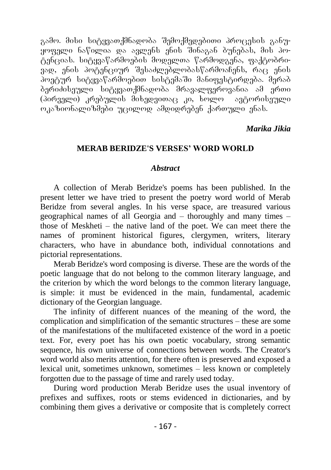გამო. მისი სიტყვათქმნადობა შემოქმედებითი პროცესის განუ-.<br>ყოფელი ნაწილია და ავლენს ენის შინაგან ბუნებას, მის პოtencias. sityvawarmoebis modelTa warmodgena, faqtobriვად, ენის პოტენციურ შესაძლებლობასწარმოაჩენს, რაც ენის poetur situacion situación situación de la completa de la control de la control de la control de la control de .<br>ბერიძისეული სიტყვათქმნადობა მრავალფეროვანია ამ ერთი<br>(პირველი) კრებულის მიხედვითაც კი, ხოლო — ავტორისეული  $(3$ ირველი) კრებულის მიხედვითაც კი, ხოლო ოკაზიონალიზშები უცილოდ ამდიდრებენ ქართული ენას.

## *Marika Jikia*

### **MERAB BERIDZE'S VERSES' WORD WORLD**

#### *Abstract*

A collection of Merab Beridze's poems has been published. In the present letter we have tried to present the poetry word world of Merab Beridze from several angles. In his verse space, are treasured various geographical names of all Georgia and – thoroughly and many times – those of Meskheti – the native land of the poet. We can meet there the names of prominent historical figures, clergymen, writers, literary characters, who have in abundance both, individual connotations and pictorial representations.

Merab Beridze's word composing is diverse. These are the words of the poetic language that do not belong to the common literary language, and the criterion by which the word belongs to the common literary language, is simple: it must be evidenced in the main, fundamental, academic dictionary of the Georgian language.

The infinity of different nuances of the meaning of the word, the complication and simplification of the semantic structures – these are some of the manifestations of the multifaceted existence of the word in a poetic text. For, every poet has his own poetic vocabulary, strong semantic sequence, his own universe of connections between words. The Creator's word world also merits attention, for there often is preserved and exposed a lexical unit, sometimes unknown, sometimes – less known or completely forgotten due to the passage of time and rarely used today.

During word production Merab Beridze uses the usual inventory of prefixes and suffixes, roots or stems evidenced in dictionaries, and by combining them gives a derivative or composite that is completely correct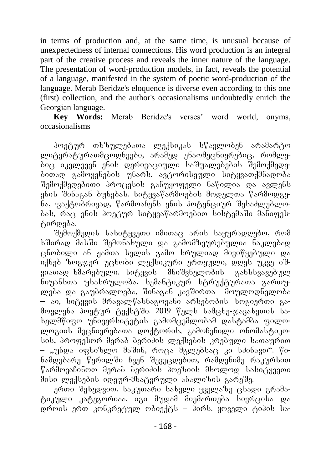in terms of production and, at the same time, is unusual because of unexpectedness of internal connections. His word production is an integral part of the creative process and reveals the inner nature of the language. The presentation of word-production models, in fact, reveals the potential of a language, manifested in the system of poetic word-production of the language. Merab Beridze's eloquence is diverse even according to this one (first) collection, and the author's occasionalisms undoubtedly enrich the Georgian language.

**Key Words:** Merab Beridze's verses' word world, onyms, occasionalisms

პოეტურ თხზულებათა ლექსიკას სწავლობენ არამარტო ლიტერატურათმცოდნეები, არამედ ენათმეცნიერებიც, რომლებიც იკვლევენ ენის დერივაციული საშუალებების შემოქმედებითად გამოყენების უნარს. ავტორისეული სიტყვათქმნადობა შემოქმედებითი პროცესის განუყოფელი ნაწილია და ავლენს ენის შინაგან ბუნებას. სიტყვაწარმოების მოდელთა წარმოდგე-.<br>ნა, ფაქტობრივად, წარმოაჩენს ენის პოტენციურ შესაძლებლობას, რაც ჟნის პოეტურ სიტყვაწარმოებით სისტემაში მანიფესტირდება.

შემოქმედის სასიტყვეთი იმითაც არის საყურადღებო, რომ .<br>ხშირად მასში შემონახული და გამომზეურებულია ნაკლებად .<br>ცნობილი ან ჟამთა სვლის გამო სრულიად მივიწყებული და .<br>იქნებ ზოგჯერ უცნობი ლექსიკური ერთეული, დღეს უკვე იშ-,<br>ვიათად ხმარებული. სიტყვის მნიშვნელობის განსხვავებულ ნიუანსთა უსასრულობა, სემანტიკურ სტრუქტურათა გართულება და გაუბრალოება, შინაგან კავშირთა მოულოდნელობა — აი, სიტყვის მრავალწახნაგოვანი არსებობის ზოგიერთი გამოვლენა პოეტურ ტექსტში. 2019 წელს სამცხე-ჯავახეთის სახელმწიფო უნივერსიტეტის გამომცემლობამ დასტამბა ფილოlogiis mecnierebaTa doqtoris, gamoCenili onomastiko- $\mathrm{lab}$ , პროფესორ მერაბ ბერიძის ლექსების კრებული სათაურით – "უნდა იფხიზლო მაშინ, როცა შგლებსაც კი სძინავთ". წინამდებარე წერილში ჩვენ შევეცდებით, რამდენიმე რაკურსით წარმოვაჩინოთ მერაპ პერიძის პოეზიის მხოლოდ სასიტყვეთი მისი ლექსების იდეურ-მხატვრული ანალიზის გარეშე.

ერთი შეხედვით, საკუთარი სახელი ყველაზე ცხადი გრამატიკული კატეგორიაა. იგი მუდამ მიემართება სივრცისა და  $\overline{\omega}$ დროის ერთ კონკრეტულ ობიექტს – პირს. ყოველი ტიპის სა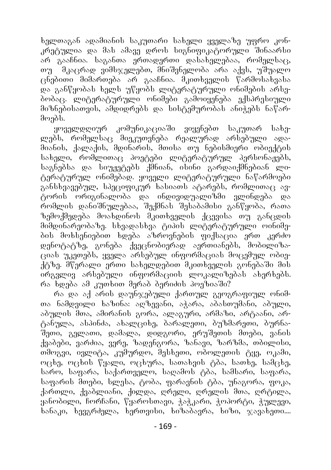ხელთაგან ადამიანის საკუთარი სახელი ყველაზე უფრო კონკრეგულია და მას ამავე დროს სიგნიფიკაგორული შინაარსი არ გააჩნია. საგანთა ერთადერთი დასახელებაა, რომელსაც, თუ \_ მკაცრად ვიმსჯელებთ, მნიშვნელობა არა აქვს, უშუალო  $\alpha$ ნებითი მიმართება არ გააჩნია. შკითხველის წარმოსახვასა და განწყობას ხელს უწყობს ლიტერატურული ონიმების არსებობაც. `ლიტერატურული ონიმები` გამოიყენება ექსპრესიული მიზნებისათვის, ამდიდრებს და სისტემურობას ანიჭებს ნაწარმოებს.

ყოველდღიურ კომუნიკაციაში ვიყენებთ საკუთარ სახელებს, რომელსაც მიეკუთვნება რეალურად არსებული ადამიანის, ქალაქის, მდინარის, მთისა თუ ნებისმიერი ობიექტის სახელი, რომლითაც პოეტები ლიტერატურულ პერსონაჟებს, საგნებსა და სიუჟეტებს ქმნიან, ისინი გარდაიქმნებიან ლიტერატურულ ონიმებად. ყოველი ლიტერატურული ნაწარმოები განსხვავებულ, სპეციფიკურ ხასიათს ატარებს, რომლითაც ავტორის ორიგინალობა და ინდივიდუალიზმი ვლინდება და რომლის დანიშნულებაა, შექმნას შესაბამისი განწყობა, რათა ზემოქმედება მოახდინოს შკითხველის ქცევისა თუ განცდის მიმდინარუობაზე. სხვადასხვა ტიპის ლიტურატურული ოინიმების მოხსენიებით ხდება აზროვნების ფიქსაცია ერთ კერძო დენოტატზე, გონება ქვეცნობიერად აერთიანებს, მობილიზაციას უკეთებს, ყველა არსებულ ინფორმაციას მოცემულ ობიე- $\tilde{A}$ გზე. მწერალი ერთი სახელდებით მკითხველის გონებაში მის .<br>ირგვლივ არსებული ინფორმაციის ლოკალიზებას ახერხებს.  $\sigma$   $\bar{\sigma}$   $\bar{\sigma}$   $\bar{\sigma}$  and  $\bar{\sigma}$  and  $\bar{\sigma}$  and  $\bar{\sigma}$  and  $\bar{\sigma}$  and  $\bar{\sigma}$  and  $\bar{\sigma}$  and  $\bar{\sigma}$ 

რა და აქ არის დაუნჯებული ქართულ გეოგრაფიულ ონიმთა ნამდვილი ხაზინა: აღზევანი, აჭარა, აბასთუმანი, აბული, აბულის მთა, ამირანის გორა, ალაგური, არმაზი, არტაანი, არტანულა, ასპინძა, ახალციხე, ბარალეთი, ბუზმარეთი, ბურნაშეთი, გელათი, დამალა, დიდგორი, ერუშეთის მთები, ვანის ქვაბები, ვარძია, ვერე, ზადენგორა, ზანავი, ზარზმა, თბილისი, თშოგვი, ივლიტა, კუმურდო, შესხეთი, ობოლეთის ტყე, ოკამი, ოცხე, ოცხის წყალი, ოცხურა, სათახვის ტბა, სათხე, სამცხე,  $b$ არო,  $b$ აფარა, საქართველო, საღამოს ტბა, სამსარი, საფარა, საფარის მთები, სლესა, ტობა, ფარავნის ტბა, უნაგორა, ფოკა, ქართლი, ქვაბლიანი, ქილდა, ღრელი, ღრელის მთა, ღრგილა, ,<br>ყანობილი, ჩორჩანი, წყაროსთავი, ჭაჭკარი, ჭოპორტი, ჭულევი,  $\tilde{b}$ ანაკი,  $\tilde{b}$ ევგრძელა,  $\tilde{b}$ ერთვისი, ხიზაპავრა, ხიზი, ჯავახეთი....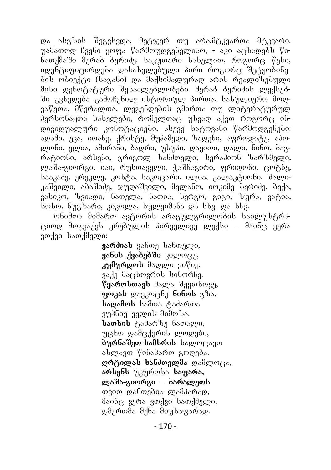და ასგზის შეგვხვდა, მეტჯერ თუ არა,მტკვართა მტკვარი. უამათოდ ჩვენი ყოფა წარმოუდგენელიაო, - აკი აცხადებს წინათქმაში მერაბ ბერიძე. საკუთარი სახელით, როგორც წესი, იდენტიფიცირდება დასახელებული პირი როგორც შეტყობინების ობიექტი (საგანი) და მაქსიმალურად არის რეალიზებული მისი დენოტატური შესაძლებლობები. მერაბ ბერიძის ლექსებში გვხვდება გამოჩენილ ისტორიულ პირთა, სასულიერო მოღვაწეთა, მწერალთა, ლეგენდების გმირთა თუ ლიტერატურულ პერსონაჟთა სახელები, რომელთაც უხვად აქვთ როგორც ინდივიდუალური კონოტაციები, ასევე ხატოვანი წარმოდგენები: ადამი, ევა, იოანე, ქრისტე, მუპამედი, ზადენი, აფროდიტე, აპოლონი, ელია, ამირანი, ბადრი, უსუპი, დავითი, დალი, ნინო, ბაგრატიონი, არსენი, გრიგოლ ხანძთელი, სერაპიონ ზარზმელი, ლაშა-გიორგი, იაი, რუსთაველი, ჭაშნაგირი, ფრიდონი, ცოტნე, სააკაძე, ერეკლე, კოხტა, საკოცარი, ილია, გალაკტიონი, შალიკაშვილი, აბაშიძე, ჯუღაშვილი, მელანო, იოკიმე ბერიძე, ბექა, ვასიკო, ზვიადი, ნათელა, ნათია, სერგო, გიგი, ზურა, ვატია, სოსო, ნუგზარი, კიკოლა, სულეიმანა და სხვ. და სხვ.

ონიმთა მიმართ ავტორის არაგულგრილობის საილუსტრა- $\beta$ იოდ მოგვაქვს კრებულის პირველივე ლექსი – მაინ $\beta$  ვერა ვთქვი სათქმელი:

> 386dosb 306001 bobogmo, asbob associated and an **კუმურდოს** მადლი ვიწიე, ვაქე მაცხოვრის სინორჩე. **წყაროსთავს** ძალა შევთხოვე, **ფოკას** დავკოცნე **ნინოს** გზა, **საღამოს** სამთა ტაძართა ვუპნიე ველის მიმოზა. **სათხის** ტაძარზე ნათალი, უცხო დამცქერის ლოდები, 8965890-bsdboob bscom(35300 ახლავთ წინაპართ გოდება. grongom bobdongmas podmmas, **არსენს** უკურთხა **საფარა,** ლაშა-გიორგი **– ბარალე**თს თვით დანთებია ლამპარად,  $\partial$ აინც ვერა ვთქვი სათქმელი,  $R^3$  mada and  $R^5$  and  $R^5$  more modes.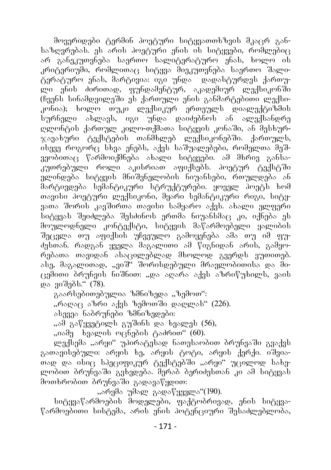მოვერიდები ტერმინ პოეტური სიტყვათთხზვის მკაცრ განსაზღვრებას. ეს არის პოეტური ენის ის სიტყვები, რომლებიც არ განეკუთვნება საერთო სალიტერატურო ენას, ხოლო ის კრიტერიუმი, რომლითაც სიტყვა მიეკუთვნება საერთო შალიტერატურო ენას, მარტივია: იგი უნდა  $\;$  დადასტურდეს ქართული ენის ძირითად, ფუნდამენტურ, აკადემიურ ლექსიკონში  $(6a)$ ნს სინამდვილეში ეს ქართული ენის განმარტებითი ლექსიკონია); ხოლო თუკი ლექსიკურ ერთეულს დიალექტიზმის სურნელი ახლავს, იგი უნდა დაიძებნოს ან ალექსანდრე ღლონტის ქართულ კილო-თქმათა სიტყვის კონაში, ან მესხურ- $\chi$ ავახური ტექსტების თანმხლებ ლექსიკონებში. ქართულს, ისევე როგორც სხვა ენებს, აქვს საშუალებები, რომელთა მეშვეობითაც წარმოიქმნება ახალი სიტყვები. ამ მხრივ განსაკუთრებული როლი აკისრიათ აფიქსებს. პოეტურ ტექსტში ვლინდება სიტყვის მნიშვნელობის ნიუანსები, რთულდება ან მარტივდება სემანტიკური სტრუქტურები. ყოველ პოეტს ხომ თავისი პოეტური ლექსიკონი, მყარი სემანტიკური რიგი, სიტყვათა შორის კავშირთა თავისი სამყარო აქვს. ახალი ელფერი სიტყვას შეიძლება შესძინოს ერთმა ნიუანსმაც კი, იქნება ეს მოულოდნელი კონტექსტი, სიტყვის მაწარმოებელი ყალიბის შეცვლა თუ აფიქსის უჩვეულო გამოყენება ამა თუ იმ ფუძესთან. რადგან ყველა მაგალითი ამ წიგნიდან არის, გამეორებათა თავიდან ასაცილებლად მხოლოდ გვერდს ვუთითებ. ასე, მაგალითად, "ვიშ" შორისდებული მრავლობითისა და ში- $\alpha$ ემითი ბრუნვის ნიშნით: "და აღარა აქვს აზრიწუხილს, ვაის და ვიშებს." (78).

გაარსებითებულია ზმნიზედა "ზემოთ":

"რაღაც აზრი აქვს ზემოთში დაღლას" (226).

ასევეა ნაბრუნები ზმნიზედები:

"ამ გაწყვეტილს გუშინს და ხვალეს (56),

"იამე ხვალის ოცნების ტაძრით" (60).

ლექსემა "არყი" უპირატესად ნათესაობით ბრუნვაში გვაქვს გათავისებული: არყის ხე, არყის ტოტი, არყის ქერქი. იშვიათად და ისიც სპეციფიკურ ტექსტებში "არყი" უცილოდ სახელობით ბრუნვაში გვხვდება. შერაბ ბერიძესთან კი ამ სიტყვას მოთხრობით ბრუნვაში გადავაწყდით:

"არყმა უმალ გადაწყევლა"(190).

სიტყვაწარმოების მოდელები, ფაქტობრივად, ენის სიტყვა-<sub>წარმოე</sub>ბითი სისტემა, არის ენის პოტუნციური შესაძლებლობა,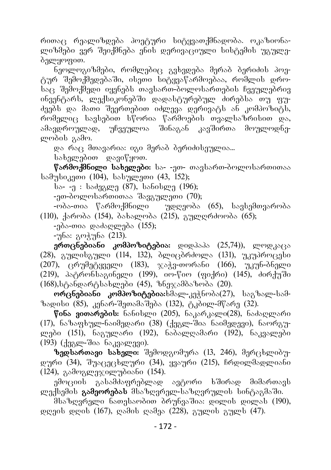რითაც რეალიზდება პოეტური სიტყვათქმნადობა. ოკაზიონალიზმები ვერ შეიქმნება ენის დერივაციული სისტემის უგულებელყოფით.

ნეოლოგიზმები, რომლებიც გვხვდება მერაბ ბერიძის პოეტურ შემოქმედებაში, ისეთი სიტყვაწარმოებაა, რომლის დროსაც შემოქმედი იყენებს თავსართ-ბოლოსართების ჩვეულებრივ ინვენტარს, `ლექსიკონებში `დადასტურებულ ძირებსა თუ ფუძეებს და მათი შეერთებით იძლევა დერივატს ან კომპოზიტს, რომელიც სავსებით სწორია წარმოების თვალსაზრისით და,<br>ამავდროულად, უჩვეულოა შინაგან კავშირთა მოულოდნე-.<br>\_ უჩვეულოა შინაგან კავშირთა მოულოდნელობის გამო.

და რაც მთავარია: იგი მერაბ ბერიძისეულია...

სახელებით დავიწყოთ.

წარმოქმნილი სახელები: სა- -ეთ- თავსართ-ბოლოსართითაა სამუსიკეთი (104), სასულეთი (43, 152);

bs- -g : bsdgageg (87), bsbobgeg (196);

-ეთ-პოლოსართითაა შავგულეთი  $(70)$ ;

-ობა-თია წარმოქმნილი უდღეობა (65), სავსემთვარობა (110), ქარობა (154), ბახალობა (215), გულღრძოობა (65);

-ე $\delta$ ა-თია დაძაღლება (155);

-უნა: გოჭუნა (213).

**ერთცნებიანი კომპოზიტებია:** დიდპაპა (25,74)), ლოდკაცა  $(28)$ , anggolanggo  $(114, 132)$ , dgoodolage  $(131)$ , nandoodalo  $(207)$ ,  $\alpha$  gondnessed (183),  $\alpha$ s g-oranisho (166), nan-bong-o (219), patronsagineli (199), io-wio (fiqri) (145), ZirquSi  $(168)$ , სტანდარტსახლები  $(45)$ , ზნეჯამბაზობა  $(20)$ .

**ორცნებიანი კომპოზიტებია:**ხმალ-კეჭნობა(27), საგზალ-სამ- $\delta$ ადისი (85), კენარ-შეთამაშება (132), ტკბილ-მწარე (32).

**წინა ვითარების:** ნანისლი (205), ნაკარკალი(28), ნაძაღლარი  $(17)$ , ნაზაფხულ-ნაიმედარი  $(38)$   $($ ქეგლ-შია ნაიმედევი), ნაორგულები (151), ნაგულარი (192), ნაბალღამარი (192), ნაკვალები (193) (ქეგლ-შია ნაკვალევი).

**ზედსართავი სახელი:** შემოდგომურა (13, 246), მერცხლიბუდური  $(34)$ , შუაცეცხლური  $(34)$ , ყვაური  $(215)$ , ჩრდილმადლიანი  $(124)$ , გამოგლეჯილუბიანი  $(154)$ .

ემოციის გასამძაფრებლად ავტორი ხშირად მიმართავს ლექსემის **გამეორებას** მსაზღვრელ-საზღვრულის სინტაგმაში.

dbsbggmagen bsongbsmdoo dimphas dos: wogenb wogensb (190),  $\varrho$  and  $\varrho$  denote (167),  $\varrho$  sdot  $\varrho$  sdos (228), angular anguls (47).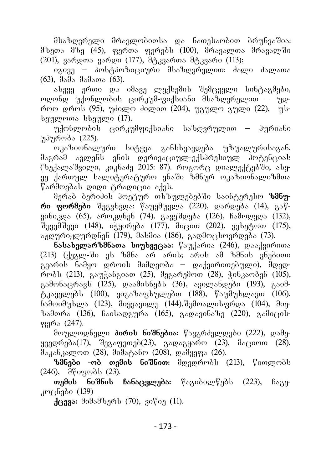მსაზღვრელი მრავლობითსა და ნათესაობით ბრუნვაშია:  $\partial \mathfrak{b}_1$ თა  $\partial \mathfrak{b}_1$  (45), ფერთა ფერებს (100),  $\partial$ რავალთა მრავალში  $(201)$ , 386000 38600 (177), degan manda degan (113);

იგივე – პოსტპოზიციური მსაზღვრელით: ძალი ძალათა  $(63)$ ,  $333$   $333$   $(63)$ .

ასევე ერთი და იმავე ლექსემის შემცველი სინტაგმები, <u>ოღონდ უქონლობის ცირკუმ-ფიქსიანი მსაზღვრელით – უდ-</u>  $\overline{r}$  (95),  $\overline{r}$  (95),  $\overline{r}$   $\overline{r}$  (dogetor  $\overline{r}$  (204),  $\overline{r}$   $\overline{r}$   $\overline{r}$   $\overline{r}$   $\overline{r}$   $\overline{r}$   $\overline{r}$   $\overline{r}$   $\overline{r}$   $\overline{r}$   $\overline{r}$   $\overline{r}$   $\overline{r}$   $\overline{r}$   $\overline{r}$   $\overline{r}$   $\overline$  $b$ ეულოთა ს $b$ ეული (17).

უქონლობის ცირკუმფიქსიანი საზღვრულით – პურიანი უპურობა (225).

.<br>ოკაზიონალური სიტყვა განსხვავდება უზუალურისაგან, მაგრამ ავლენს ენის დერივაციულ-ექსპრესიულ პოტენციას  $( \delta_0, \delta_1)$  ( $\delta_2$  )  $\delta_3$  )  $\delta_4$  )  $\delta_5$  )  $\delta_6$  ,  $\delta_7$  ,  $\delta_8$  )  $\delta_7$  ,  $\delta_8$  ,  $\delta_9$  ( $\delta_9$  )  $\delta_9$  ( $\delta_9$  )  $\delta_9$  ( $\delta_9$  )  $\delta_9$  ( $\delta_9$  )  $\delta_9$  ( $\delta_9$  )  $\delta_9$  ( $\delta_9$  )  $\delta_9$  ( $\delta_9$  )  $\delta_9$  $g$ ე ქართულ სალიტერატურო ენაში ზმნურ ოკაზიონალიზმთა წარმოებას დიდი ტრადიცია აქვს.

მერაბ ბერიძის პოეტურ თხზულებებში საინტერესო **ზმნური ფორმები** შეგვხვდა: წაუყმუვლა (220), დარდება (14), გაწვინიკდა (65), აროკდნენ (74), გავეშდება (126), ჩამოღედა (132),  $\tilde{B}_{233}$  $\tilde{B}_{333}$  $\tilde{B}_{333}$  (148),  $\tilde{O}_{333}$  ( $\tilde{O}_{333}$ ),  $\tilde{O}_{333}$  ( $\tilde{O}_{333}$ ),  $\tilde{O}_{333}$  $\tilde{B}_{333}$  $\tilde{B}_{333}$  $\tilde{B}_{333}$  $\tilde{B}_{333}$  $\tilde{B}_{333}$  $\tilde{B}_{333}$  $\alpha$ 

**ნასახელარზშნათა სიუხვეცაა:** წაუქარია (246), დააქვირითა  $(213)$   $(13)$   $(13)$   $(13)$   $(13)$   $(13)$   $(13)$   $(13)$   $(13)$   $(13)$   $(13)$   $(13)$   $(13)$   $(13)$   $(13)$   $(13)$   $(13)$   $(13)$   $(13)$   $(13)$   $(13)$   $(13)$   $(13)$   $(13)$   $(13)$   $(13)$   $(13)$   $(13)$   $(13)$   $(13)$   $(13)$   $(1$ გვარის ნამყო დროის მიმღეობა – დაქვირითებული), მდედ- $\sim$  600b (213),  $\chi_{0}$   $\chi_{0}$  (5 $\chi_{0}$  (25),  $\chi_{0}$  (3),  $\chi_{0}$  (3),  $\chi_{0}$  ( $\chi_{0}$ ),  $\chi_{0}$  (105),  $\chi_{0}$ გამონაცრავს (125), დაამისნებს (36), ავილანდები (193), გაიმტკაველებს (100), ვიგაზაფხულებთ (188), წაუმუხლავთ (106),  $\delta$ ამოიმუხლა (123), მიყვავილე (144), შემოალისფრდა (104), მიე- $\delta$ zampa (136), bootsogram (165), gaosgobs $\delta$ g (220), gadagotფერა (247).

მოულოდნელი **პირის ნიშნებია:** წავგრძელდები (222), დამე- $_{330}$ დრუბა $(17)$ , შეგაფეთებ $(23)$ , გადაგყარო  $(23)$ , მაციოთ  $(28)$ ,  $\delta$ akalog (28),  $\delta$ akalog (208), gadang (26).

ზმნები -ობ თემის ნიშნით: მდედრობს (213), წითლობს  $(246)$ ,  $\frac{\partial \mathcal{G}}{\partial \mathcal{G}}$  (23).

**თემის ნიშნის ჩანაცვლება:** წაგიბილწებს (223), ჩაგე $x^{\omega}$ 

 $\frac{1}{2}$ cega: dodsdbagb (70),  $\frac{1}{2}$ o $\frac{1}{2}$  (11).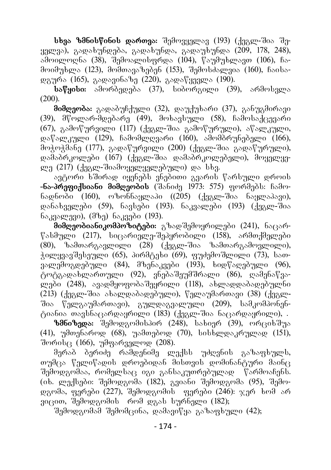**სხვა ზმნისწინის დართვა:** შემოვყელავ (193) (ქეგლ-შია შე $y_1$ gaz), გადახუნდება, გადახუნდა, გადაუხუნდა (209, 178, 248), აპოილოღნა (38), შემოალისფრდა (104), წაუმუხლავთ (106), ჩა- $\partial$  moder bava (123),  $\partial$  m $\partial$  mass  $\partial$  n $\partial$  m $\partial$  (153),  $\partial$  n $\partial$  must  $\partial$  mass (160),  $\partial$  haots- $\varphi$  (165), as  $\varphi$  and  $\varphi$  (220), as  $\varphi$  (190).

**საწყისი:** ამორბედება (37), სიბორგილი (39), არმოსვლა (200).

**მიმღეობა:** გადაბუჩქული (32), დაუქუხარი (37), განუგმირავი (39), მწოლარ-მდებარე (49), მოხავსული (58), ჩამოსაქცევარი  $(67)$ , გამოწურვილი  $(117)$   $($ ქეგლ-შია გამოწურული), აწალკული,  $\alpha$ მოჭოჭმანე (177), გადაწურვილი (200) (ქეგლ-შია გადაწურული), დამაბრკოლები (167) (ქეგლ-შია დამაბრკოლებელი), მოყელყელე  $(217)$   $($   $138$  ლ-შიამოყელელებული) და სხვ.

ავტორი ხშირად იყენებს ვნებითი გვარის წარსული დროის **-ნა-პრუფიქსიანი მიმდუობის** (შანიძე 1973: 575) ფორმებს: ჩამონადნობი (160), ოზონნაყლაპი  $((205)$   $(\frac{1}{4}a)^{200}$  ნაყლაპავი),  $\alpha$ ანახველები (59), ნავსები (193). ნაკვალები (193) (ქეგლ-შია  $6_{23}$ g $8_{23}$ (200),  $(36_2)$   $6_{23}$  $(33)$ .

.<br>**მიმღეობიანიკომპოზიტები:** გზადშემოყრილები (241), ნაცარ- $\sqrt[6]{8}$ ასმული (217), სიცარიელე-შეპყრობილი (158), არმთქმელები  $(80)$ , ხამთარგავლილი  $(28)$   $(\overline{d}$ gav-შია ხამთარგამოვლილი),  $\frac{1}{2}$ ილყვავშესეული (65), პირმტეხი (69), ფუძემოშლილი (73), სათ- $\overline{v}$ ვალუშოგდებული (84), მზენაკვები (193), ხიდწაღებული (96), .<br>ტოტგადახლართული (92), ვნებაშეუმშრალი (86), ღამენაწვალები (248), ავადმყოფობაშეყრილი (118), ახლადდაბადებულნი  $(213)$   $($ ქეგლ-შია ახალდაბადებული), წელაუმართავი  $(38)$   $($ ქეგლშია წელგაუმართავი), გულდაგვალული (209), სამკომპონენტიანია თავსნაცარდაყრილი  $(183)$   $($ ქეგლ-შია ნაცარდაყრილი), .

ზმნიზედა: შემოდგომისპირ (248), სახიერ (39), ორციხშუა (41), უმთენაროდ (68), უამთებოდ (70), სისხლდაკრულად (151),  $\theta$ ორის $\beta$  (166), უმფარველოდ (208).

მერაბ ბერიძე რამდენიმე ლექსს უძღვნის გაზაფხულს,  $\sigma$ უმცა წელიწადის დროუბიდან მისთვის დომინანტური მაინც შემოდგომაა, რომელსაც იგი განსაკუთრებულად წარმოაჩენს.  $(0.6.$  gendlindo: dideograda (182), agosto dideograda (95), dideoდგომა, ფერები (227), შემოდგომის - ფერები (246):  $\chi$ ერ ხომ არ  $\overline{3}$ იცით, შემოდგომის – რომ დგას სურნელი (182);

.<br>შემოდგომამ შემომცინა, დამავიწყა გაზაფხული (42);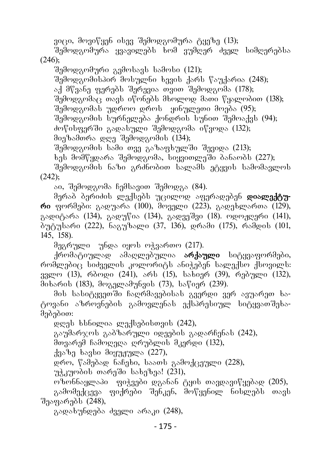ვიცი, მოვიწყენ ისევ შემოდგომურა ტყეზე (13);

შემოდგომურა ყვავილებს ხომ ვუმღერ ძველ სიმღერებსა

(246);

შემოდგომური გვმოსავს სამოსი  $(121)$ ;

 $\partial_{\Omega}$ მოდგომისპირ მოსულნი ხევის ქარს წაუქარია (248);

აქ მწვანე ფერებს შერევია თვით შემოდგომა (178);

 $\partial_{\Omega}$ მოდგომა $\overline{\partial}$  თავს იწონებს მხოლოდ მათი წყალობით (138);

შემოდგომას უდროო დროს ყინულეთი მოება (95);

 $\partial \overline{\partial}$ შემოდგომის სურნელება ქონდრის სუნით  $\overline{\partial}$ ემოაქვს (94);

ძოწისფერში გადასული შემოდგომა იწვოდა (132);

მიეზამთრა დღე შემოდგომის (134);

შემოდგომის სამი თვე გაზაფხულში შევიდა (213);

ხეს მომწყდარა შემოდგომა, სიყვითლეში ბანაობს (227);

შემოდგომის ნაზი გრძნობით სალამს ეტყვის სამომავლოს  $(242)$ ;

აი, შემოდგომა ჩემსავით შემოდგა (84).

მერაბ ბერიძის ლექსებს უცილოდ აფერადებენ **დიალექტური** ფორმები: გადუარა (100), მოველი (223), გადეხლართა (129), გადიტარა (134), გადუწია (134), გადვეშვი (18). ოდოჟღერი (141), ბუტუსარი (222), ნაგუზალი (37, 136), დრამი (175), რამდის (101, 145, 158).

მეგრული უნდა იყოს ოჭვართო (217).

ქრომატიულად ამაღლებულია **არქაული** სიტყვაფორმები, roma and bodan ben seminar shown is a bown and the some the ვვლო (13), რბოდი (241), არს (15), სახიერ (39), რებული (132), mixaris (183), mogelamunvis (73), sawier (239).

მის სასიტყვეთში ჩაღრმავებისას გვერდი ვერ ავუარეთ ხატოვანი აზროვნების გამოვლენას ექსპრესიულ სიტყვათშეხამებებით:

 $\alpha$ ღეს ხსნილია ლექსებისთვის (242),

გაუმარჯოს გაბზარული იდეების გადარჩენას (242),

მთვარემ ჩამოღედა ღრუბლის მკერდი (132),

 $a<sub>38</sub>$  $a<sub>9</sub>$  is also  $a<sub>9</sub>$  and  $a<sub>10</sub>$  and  $a<sub>10</sub>$ 

დრო, წამებად ნაჩეხი, საათს გამოქცეული (228),

 $m\lambda$ amedob oseado bs $b_0$ bas! (231),

ოზონნაყლაპი ფიჭვები დგანან ტყის თავდავიწყებად (205),

გამომექცევა ფიქრები შენკენ, მოწყენილ ნისლებს თავს შეაფარებს (248),

გადახუნდება ძველი არაკი (248),